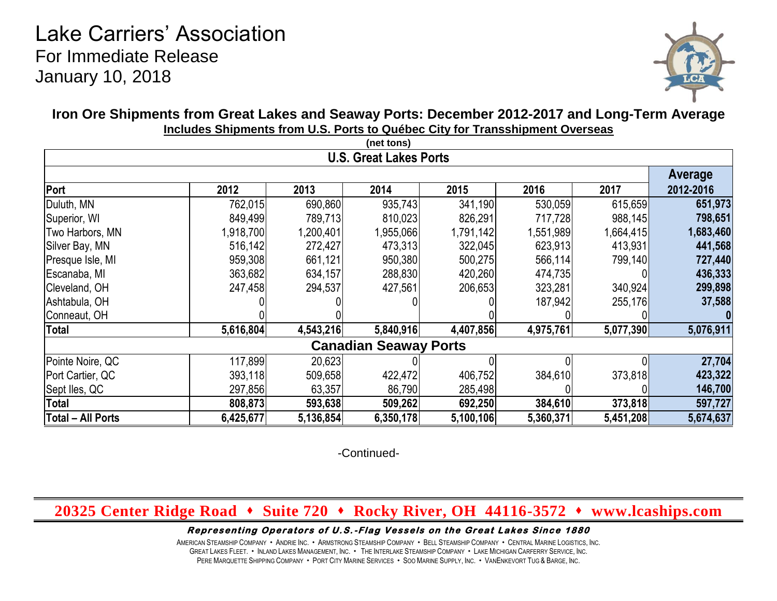# Lake Carriers' Association For Immediate Release January 10, 2018



## **Iron Ore Shipments from Great Lakes and Seaway Ports: December 2012-2017 and Long-Term Average Includes Shipments from U.S. Ports to Québec City for Transshipment Overseas**

|                               |           |           | (net tons) |           |           |           |           |  |  |  |
|-------------------------------|-----------|-----------|------------|-----------|-----------|-----------|-----------|--|--|--|
| <b>U.S. Great Lakes Ports</b> |           |           |            |           |           |           |           |  |  |  |
|                               |           |           |            |           |           |           |           |  |  |  |
| Port                          | 2012      | 2013      | 2014       | 2015      | 2016      | 2017      | 2012-2016 |  |  |  |
| Duluth, MN                    | 762,015   | 690,860   | 935,743    | 341,190   | 530,059   | 615,659   | 651,973   |  |  |  |
| Superior, WI                  | 849,499   | 789,713   | 810,023    | 826,291   | 717,728   | 988,145   | 798,651   |  |  |  |
| Two Harbors, MN               | 1,918,700 | 1,200,401 | 1,955,066  | 1,791,142 | 1,551,989 | 1,664,415 | 1,683,460 |  |  |  |
| Silver Bay, MN                | 516,142   | 272,427   | 473,313    | 322,045   | 623,913   | 413,931   | 441,568   |  |  |  |
| Presque Isle, MI              | 959,308   | 661,121   | 950,380    | 500,275   | 566,114   | 799,140   | 727,440   |  |  |  |
| Escanaba, MI                  | 363,682   | 634,157   | 288,830    | 420,260   | 474,735   |           | 436,333   |  |  |  |
| Cleveland, OH                 | 247,458   | 294,537   | 427,561    | 206,653   | 323,281   | 340,924   | 299,898   |  |  |  |
| Ashtabula, OH                 |           |           |            |           | 187,942   | 255,176   | 37,588    |  |  |  |
| Conneaut, OH                  |           |           |            |           |           |           |           |  |  |  |
| Total                         | 5,616,804 | 4,543,216 | 5,840,916  | 4,407,856 | 4,975,761 | 5,077,390 | 5,076,911 |  |  |  |
| <b>Canadian Seaway Ports</b>  |           |           |            |           |           |           |           |  |  |  |
| Pointe Noire, QC              | 117,899   | 20,623    |            |           |           |           | 27,704    |  |  |  |
| Port Cartier, QC              | 393,118   | 509,658   | 422,472    | 406,752   | 384,610   | 373,818   | 423,322   |  |  |  |
| Sept Iles, QC                 | 297,856   | 63,357    | 86,790     | 285,498   |           |           | 146,700   |  |  |  |
| <b>Total</b>                  | 808,873   | 593,638   | 509,262    | 692,250   | 384,610   | 373,818   | 597,727   |  |  |  |
| <b>Total - All Ports</b>      | 6,425,677 | 5,136,854 | 6,350,178  | 5,100,106 | 5,360,371 | 5,451,208 | 5,674,637 |  |  |  |

-Continued-

## **20325 Center Ridge Road Suite 720 Rocky River, OH 44116-3572 www.lcaships.com**

#### Representing Operators of U.S.-Flag Vessels on the Great Lakes Since 1880

AMERICAN STEAMSHIP COMPANY ANDRIE INC. ARMSTRONG STEAMSHIP COMPANY BELL STEAMSHIP COMPANY CENTRAL MARINE LOGISTICS, INC. GREAT LAKES FLEET. . INLAND LAKES MANAGEMENT, INC. . THE INTERLAKE STEAMSHIP COMPANY . LAKE MICHIGAN CARFERRY SERVICE, INC. PERE MARQUETTE SHIPPING COMPANY . PORT CITY MARINE SERVICES . SOO MARINE SUPPLY, INC. . VANENKEVORT TUG & BARGE, INC.